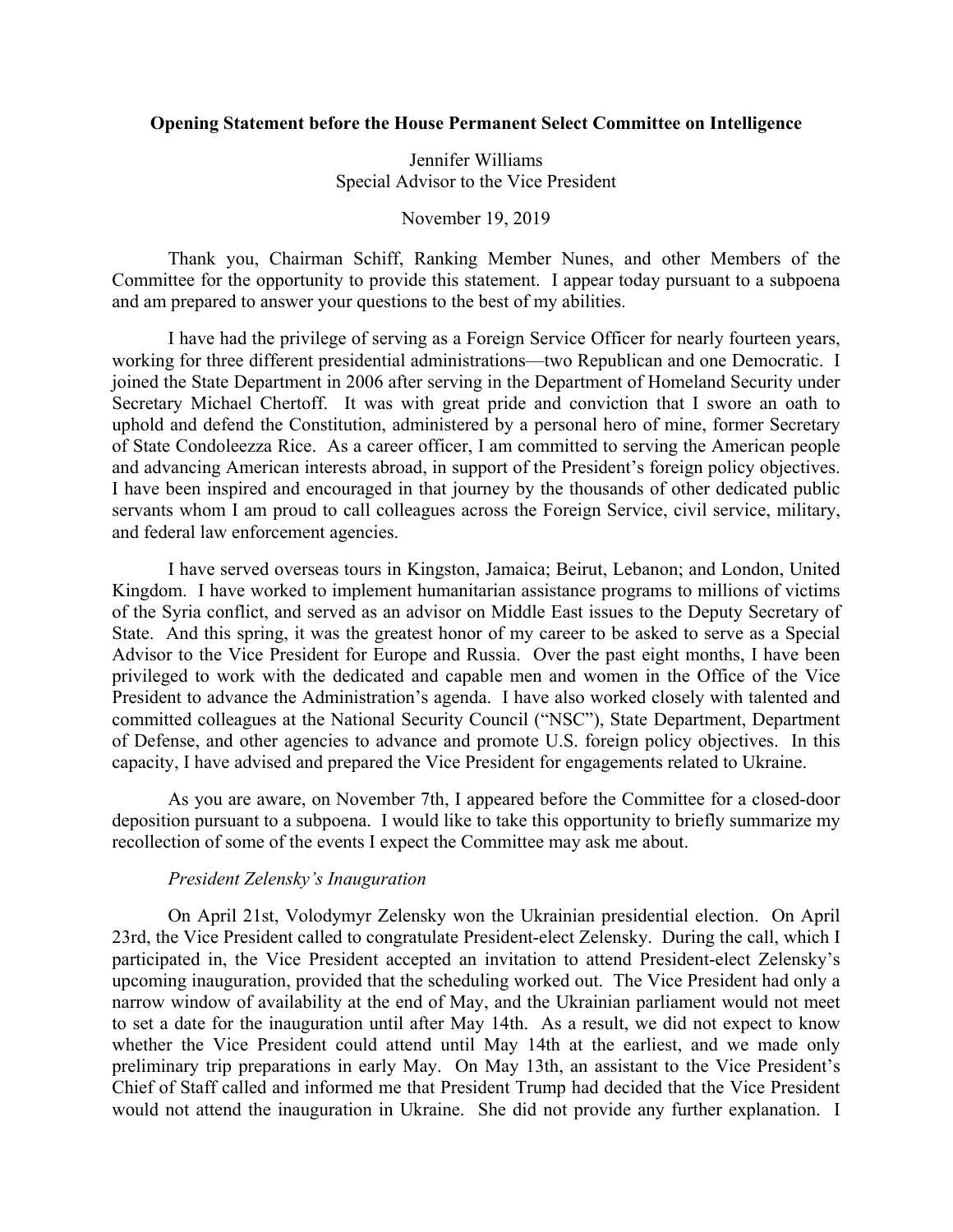# **Opening Statement before the House Permanent Select Committee on Intelligence**

Jennifer Williams Special Advisor to the Vice President

November 19, 2019

Thank you, Chairman Schiff, Ranking Member Nunes, and other Members of the Committee for the opportunity to provide this statement. I appear today pursuant to a subpoena and am prepared to answer your questions to the best of my abilities.

I have had the privilege of serving as a Foreign Service Officer for nearly fourteen years, working for three different presidential administrations—two Republican and one Democratic. I joined the State Department in 2006 after serving in the Department of Homeland Security under Secretary Michael Chertoff. It was with great pride and conviction that I swore an oath to uphold and defend the Constitution, administered by a personal hero of mine, former Secretary of State Condoleezza Rice. As a career officer, I am committed to serving the American people and advancing American interests abroad, in support of the President's foreign policy objectives. I have been inspired and encouraged in that journey by the thousands of other dedicated public servants whom I am proud to call colleagues across the Foreign Service, civil service, military, and federal law enforcement agencies.

I have served overseas tours in Kingston, Jamaica; Beirut, Lebanon; and London, United Kingdom. I have worked to implement humanitarian assistance programs to millions of victims of the Syria conflict, and served as an advisor on Middle East issues to the Deputy Secretary of State. And this spring, it was the greatest honor of my career to be asked to serve as a Special Advisor to the Vice President for Europe and Russia. Over the past eight months, I have been privileged to work with the dedicated and capable men and women in the Office of the Vice President to advance the Administration's agenda. I have also worked closely with talented and committed colleagues at the National Security Council ("NSC"), State Department, Department of Defense, and other agencies to advance and promote U.S. foreign policy objectives. In this capacity, I have advised and prepared the Vice President for engagements related to Ukraine.

As you are aware, on November 7th, I appeared before the Committee for a closed-door deposition pursuant to a subpoena. I would like to take this opportunity to briefly summarize my recollection of some of the events I expect the Committee may ask me about.

### *President Zelensky's Inauguration*

On April 21st, Volodymyr Zelensky won the Ukrainian presidential election. On April 23rd, the Vice President called to congratulate President-elect Zelensky. During the call, which I participated in, the Vice President accepted an invitation to attend President-elect Zelensky's upcoming inauguration, provided that the scheduling worked out. The Vice President had only a narrow window of availability at the end of May, and the Ukrainian parliament would not meet to set a date for the inauguration until after May 14th. As a result, we did not expect to know whether the Vice President could attend until May 14th at the earliest, and we made only preliminary trip preparations in early May. On May 13th, an assistant to the Vice President's Chief of Staff called and informed me that President Trump had decided that the Vice President would not attend the inauguration in Ukraine. She did not provide any further explanation. I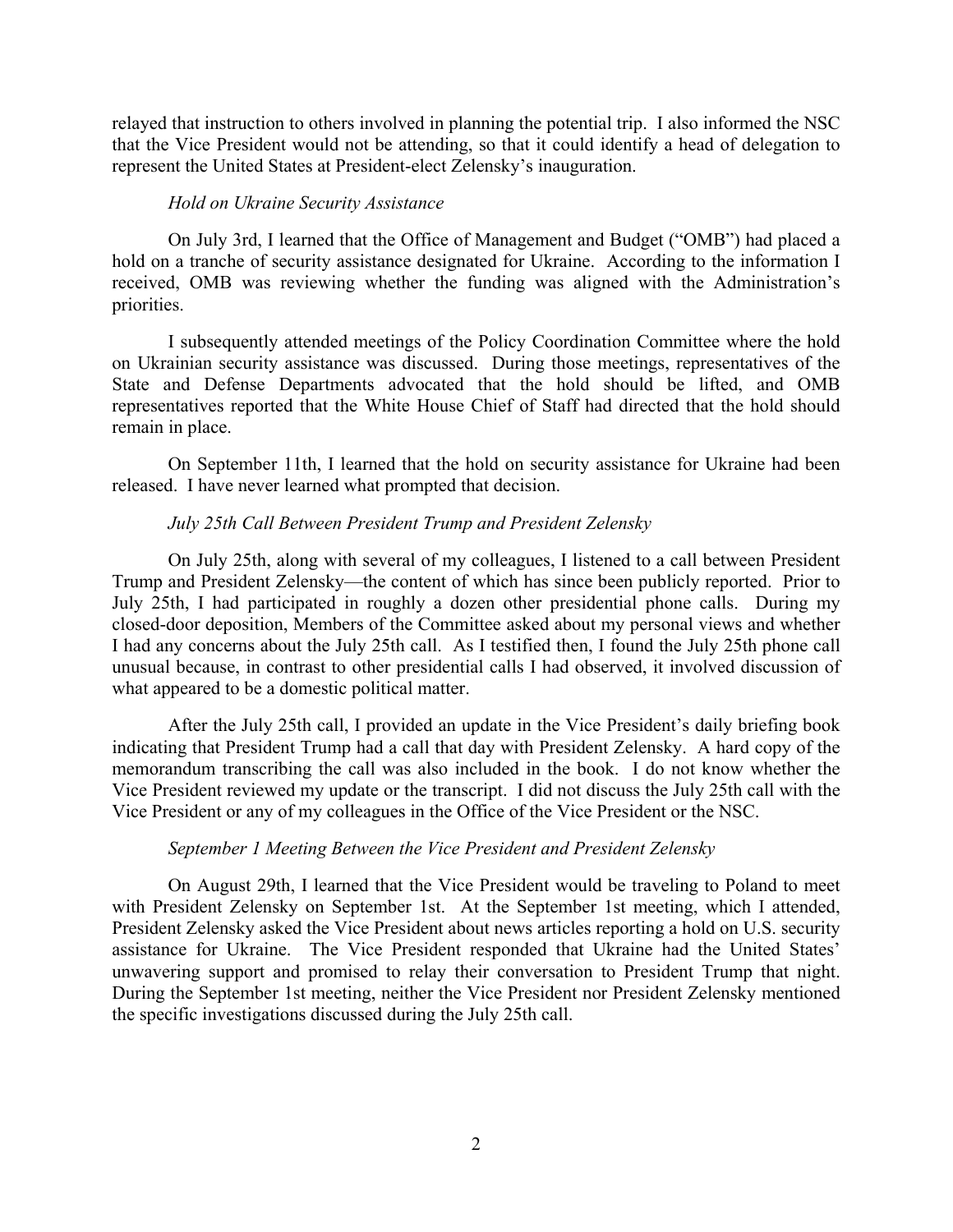relayed that instruction to others involved in planning the potential trip. I also informed the NSC that the Vice President would not be attending, so that it could identify a head of delegation to represent the United States at President-elect Zelensky's inauguration.

#### *Hold on Ukraine Security Assistance*

On July 3rd, I learned that the Office of Management and Budget ("OMB") had placed a hold on a tranche of security assistance designated for Ukraine. According to the information I received, OMB was reviewing whether the funding was aligned with the Administration's priorities.

I subsequently attended meetings of the Policy Coordination Committee where the hold on Ukrainian security assistance was discussed. During those meetings, representatives of the State and Defense Departments advocated that the hold should be lifted, and OMB representatives reported that the White House Chief of Staff had directed that the hold should remain in place.

On September 11th, I learned that the hold on security assistance for Ukraine had been released. I have never learned what prompted that decision.

## *July 25th Call Between President Trump and President Zelensky*

On July 25th, along with several of my colleagues, I listened to a call between President Trump and President Zelensky—the content of which has since been publicly reported. Prior to July 25th, I had participated in roughly a dozen other presidential phone calls. During my closed-door deposition, Members of the Committee asked about my personal views and whether I had any concerns about the July 25th call. As I testified then, I found the July 25th phone call unusual because, in contrast to other presidential calls I had observed, it involved discussion of what appeared to be a domestic political matter.

After the July 25th call, I provided an update in the Vice President's daily briefing book indicating that President Trump had a call that day with President Zelensky. A hard copy of the memorandum transcribing the call was also included in the book. I do not know whether the Vice President reviewed my update or the transcript. I did not discuss the July 25th call with the Vice President or any of my colleagues in the Office of the Vice President or the NSC.

## *September 1 Meeting Between the Vice President and President Zelensky*

On August 29th, I learned that the Vice President would be traveling to Poland to meet with President Zelensky on September 1st. At the September 1st meeting, which I attended, President Zelensky asked the Vice President about news articles reporting a hold on U.S. security assistance for Ukraine. The Vice President responded that Ukraine had the United States' unwavering support and promised to relay their conversation to President Trump that night. During the September 1st meeting, neither the Vice President nor President Zelensky mentioned the specific investigations discussed during the July 25th call.